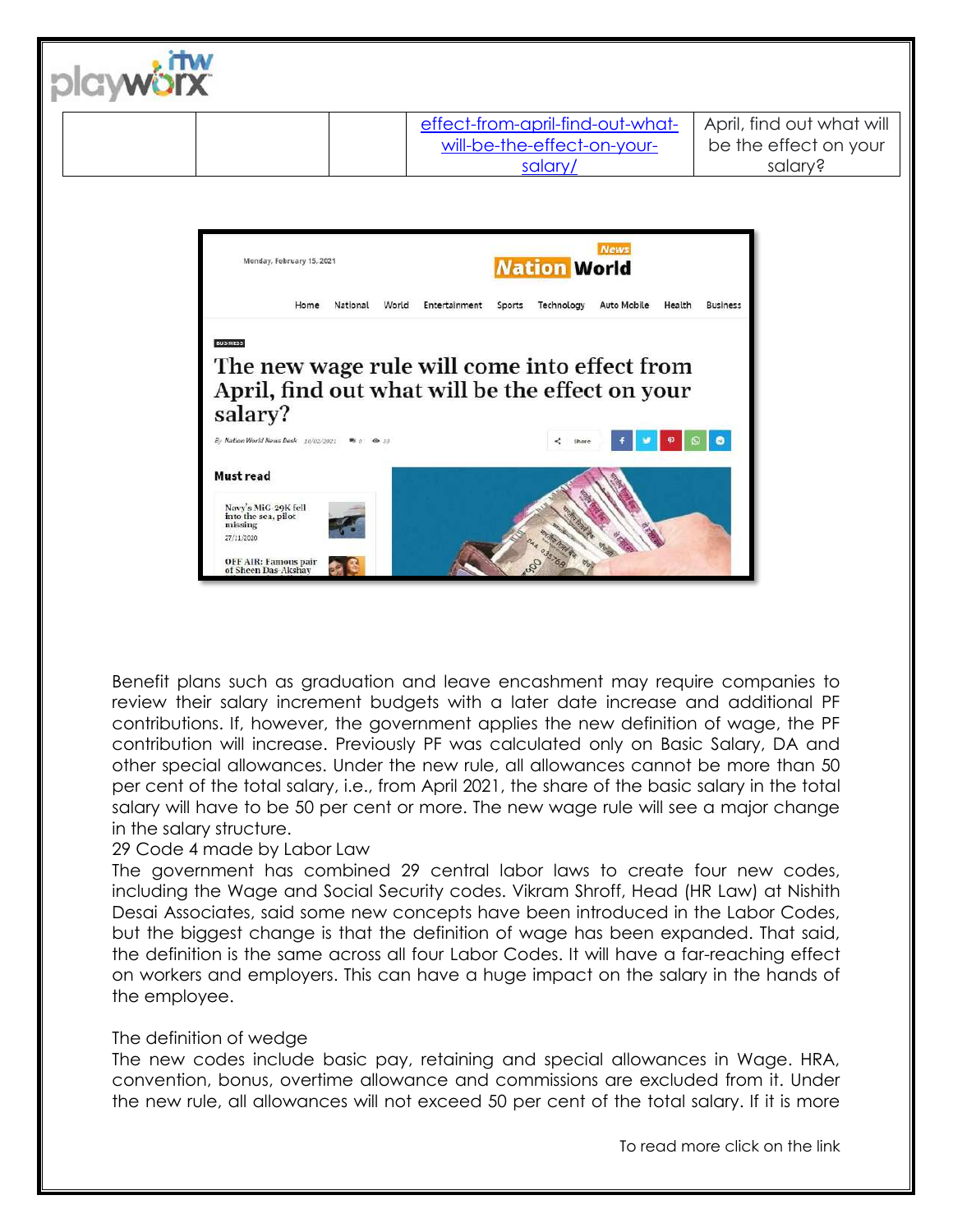

Benefit plans such as graduation and leave encashment may require companies to review their salary increment budgets with a later date increase and additional PF contributions. If, however, the government applies the new definition of wage, the PF contribution will increase. Previously PF was calculated only on Basic Salary, DA and other special allowances. Under the new rule, all allowances cannot be more than 50 per cent of the total salary, i.e., from April 2021, the share of the basic salary in the total salary will have to be 50 per cent or more. The new wage rule will see a major change in the salary structure.

# 29 Code 4 made by Labor Law

The government has combined 29 central labor laws to create four new codes, including the Wage and Social Security codes. Vikram Shroff, Head (HR Law) at Nishith Desai Associates, said some new concepts have been introduced in the Labor Codes, but the biggest change is that the definition of wage has been expanded. That said, the definition is the same across all four Labor Codes. It will have a far-reaching effect on workers and employers. This can have a huge impact on the salary in the hands of the employee.

# The definition of wedge

The new codes include basic pay, retaining and special allowances in Wage. HRA, convention, bonus, overtime allowance and commissions are excluded from it. Under the new rule, all allowances will not exceed 50 per cent of the total salary. If it is more